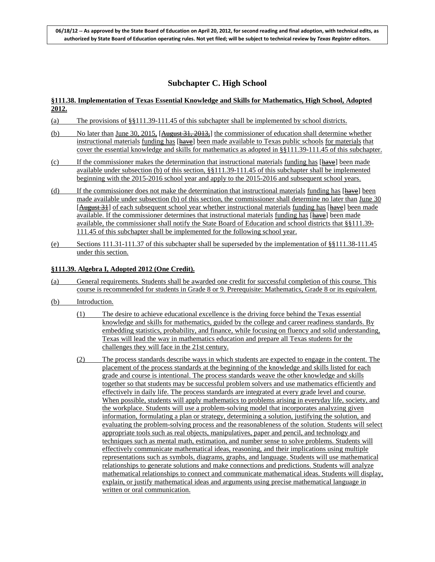# **Subchapter C. High School**

# **§111.38. Implementation of Texas Essential Knowledge and Skills for Mathematics, High School, Adopted 2012.**

- (a) The provisions of §§111.39-111.45 of this subchapter shall be implemented by school districts.
- (b) No later than June 30, 2015, [August 31, 2013,] the commissioner of education shall determine whether instructional materials funding has [have] been made available to Texas public schools for materials that cover the essential knowledge and skills for mathematics as adopted in §§111.39-111.45 of this subchapter.
- (c) If the commissioner makes the determination that instructional materials funding has [have] been made available under subsection (b) of this section, §§111.39-111.45 of this subchapter shall be implemented beginning with the 2015-2016 school year and apply to the 2015-2016 and subsequent school years.
- (d) If the commissioner does not make the determination that instructional materials funding has  $[{\text{have}}]$  been made available under subsection (b) of this section, the commissioner shall determine no later than June 30 [August 31] of each subsequent school year whether instructional materials funding has [have] been made available. If the commissioner determines that instructional materials funding has [have] been made available, the commissioner shall notify the State Board of Education and school districts that §§111.39- 111.45 of this subchapter shall be implemented for the following school year.
- (e) Sections 111.31-111.37 of this subchapter shall be superseded by the implementation of §§111.38-111.45 under this section.

# **§111.39. Algebra I, Adopted 2012 (One Credit).**

- (a) General requirements. Students shall be awarded one credit for successful completion of this course. This course is recommended for students in Grade 8 or 9. Prerequisite: Mathematics, Grade 8 or its equivalent.
- (b) Introduction.
	- (1) The desire to achieve educational excellence is the driving force behind the Texas essential knowledge and skills for mathematics, guided by the college and career readiness standards. By embedding statistics, probability, and finance, while focusing on fluency and solid understanding, Texas will lead the way in mathematics education and prepare all Texas students for the challenges they will face in the 21st century.
	- (2) The process standards describe ways in which students are expected to engage in the content. The placement of the process standards at the beginning of the knowledge and skills listed for each grade and course is intentional. The process standards weave the other knowledge and skills together so that students may be successful problem solvers and use mathematics efficiently and effectively in daily life. The process standards are integrated at every grade level and course. When possible, students will apply mathematics to problems arising in everyday life, society, and the workplace. Students will use a problem-solving model that incorporates analyzing given information, formulating a plan or strategy, determining a solution, justifying the solution, and evaluating the problem-solving process and the reasonableness of the solution. Students will select appropriate tools such as real objects, manipulatives, paper and pencil, and technology and techniques such as mental math, estimation, and number sense to solve problems. Students will effectively communicate mathematical ideas, reasoning, and their implications using multiple representations such as symbols, diagrams, graphs, and language. Students will use mathematical relationships to generate solutions and make connections and predictions. Students will analyze mathematical relationships to connect and communicate mathematical ideas. Students will display, explain, or justify mathematical ideas and arguments using precise mathematical language in written or oral communication.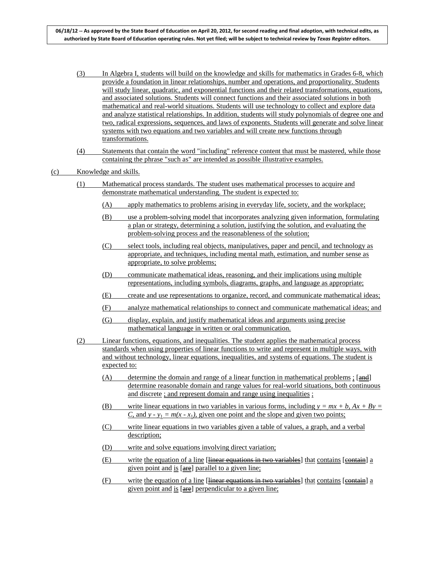- (3) In Algebra I, students will build on the knowledge and skills for mathematics in Grades 6-8, which provide a foundation in linear relationships, number and operations, and proportionality. Students will study linear, quadratic, and exponential functions and their related transformations, equations, and associated solutions. Students will connect functions and their associated solutions in both mathematical and real-world situations. Students will use technology to collect and explore data and analyze statistical relationships. In addition, students will study polynomials of degree one and two, radical expressions, sequences, and laws of exponents. Students will generate and solve linear systems with two equations and two variables and will create new functions through transformations.
- (4) Statements that contain the word "including" reference content that must be mastered, while those containing the phrase "such as" are intended as possible illustrative examples.

- (1) Mathematical process standards. The student uses mathematical processes to acquire and demonstrate mathematical understanding. The student is expected to:
	- (A) apply mathematics to problems arising in everyday life, society, and the workplace;
	- (B) use a problem-solving model that incorporates analyzing given information, formulating a plan or strategy, determining a solution, justifying the solution, and evaluating the problem-solving process and the reasonableness of the solution;
	- (C) select tools, including real objects, manipulatives, paper and pencil, and technology as appropriate, and techniques, including mental math, estimation, and number sense as appropriate, to solve problems;
	- (D) communicate mathematical ideas, reasoning, and their implications using multiple representations, including symbols, diagrams, graphs, and language as appropriate;
	- (E) create and use representations to organize, record, and communicate mathematical ideas;
	- (F) analyze mathematical relationships to connect and communicate mathematical ideas; and
	- (G) display, explain, and justify mathematical ideas and arguments using precise mathematical language in written or oral communication.
- (2) Linear functions, equations, and inequalities. The student applies the mathematical process standards when using properties of linear functions to write and represent in multiple ways, with and without technology, linear equations, inequalities, and systems of equations. The student is expected to:
	- (A) determine the domain and range of a linear function in mathematical problems ;  $[$ and] determine reasonable domain and range values for real-world situations, both continuous and discrete ; and represent domain and range using inequalities ;
	- (B) write linear equations in two variables in various forms, including  $y = mx + b$ ,  $Ax + By =$ *C*, and  $y - y_1 = m(x - x_1)$ , given one point and the slope and given two points;
	- (C) write linear equations in two variables given a table of values, a graph, and a verbal description;
	- (D) write and solve equations involving direct variation;
	- (E) write the equation of a line [linear equations in two variables] that contains [contain] a given point and  $is$  [ $are$ ] parallel to a given line;
	- $(F)$  write the equation of a line [linear equations in two variables] that contains [eontain] a given point and is  $[\frac{area}{area}]$  perpendicular to a given line;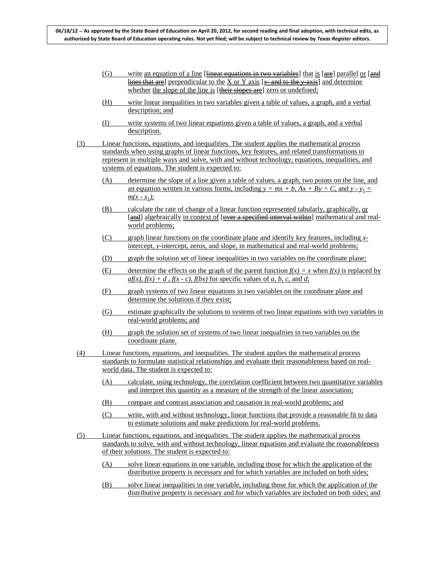- $\frac{1}{10}$  write an equation of a line [linear equations in two variables] that is [are] parallel or [and lines that are] perpendicular to the X or Y axis  $[x \text{ and to the } y \text{ axis}]$  and determine whether the slope of the line is [their slopes are] zero or undefined;
- (H) write linear inequalities in two variables given a table of values, a graph, and a verbal description; and
- (I) write systems of two linear equations given a table of values, a graph, and a verbal description.
- (3) Linear functions, equations, and inequalities. The student applies the mathematical process standards when using graphs of linear functions, key features, and related transformations to represent in multiple ways and solve, with and without technology, equations, inequalities, and systems of equations. The student is expected to:
	- (A) determine the slope of a line given a table of values, a graph, two points on the line, and an equation written in various forms, including  $y = mx + b$ ,  $Ax + By = C$ , and  $y - y_1 = 0$  $m(x - x_1)$ ;
	- (B) calculate the rate of change of a linear function represented tabularly, graphically,  $or$ </u> [and] algebraically in context of [over a specified interval within] mathematical and realworld problems;
	- (C) graph linear functions on the coordinate plane and identify key features, including *x*intercept, *y*-intercept, zeros, and slope, in mathematical and real-world problems;
	- (D) graph the solution set of linear inequalities in two variables on the coordinate plane;
	- (E) determine the effects on the graph of the parent function  $f(x) = x$  when  $f(x)$  is replaced by  $af(x)$ ,  $f(x) + d$ ,  $f(x - c)$ ,  $f(bx)$  for specific values of *a*, *b*, *c*, and *d*;
	- (F) graph systems of two linear equations in two variables on the coordinate plane and determine the solutions if they exist;
	- (G) estimate graphically the solutions to systems of two linear equations with two variables in real-world problems; and
	- (H) graph the solution set of systems of two linear inequalities in two variables on the coordinate plane.
- (4) Linear functions, equations, and inequalities. The student applies the mathematical process standards to formulate statistical relationships and evaluate their reasonableness based on realworld data. The student is expected to:
	- (A) calculate, using technology, the correlation coefficient between two quantitative variables and interpret this quantity as a measure of the strength of the linear association;
	- (B) compare and contrast association and causation in real-world problems; and
	- (C) write, with and without technology, linear functions that provide a reasonable fit to data to estimate solutions and make predictions for real-world problems.
- (5) Linear functions, equations, and inequalities. The student applies the mathematical process standards to solve, with and without technology, linear equations and evaluate the reasonableness of their solutions. The student is expected to:
	- (A) solve linear equations in one variable, including those for which the application of the distributive property is necessary and for which variables are included on both sides;
	- (B) solve linear inequalities in one variable, including those for which the application of the distributive property is necessary and for which variables are included on both sides; and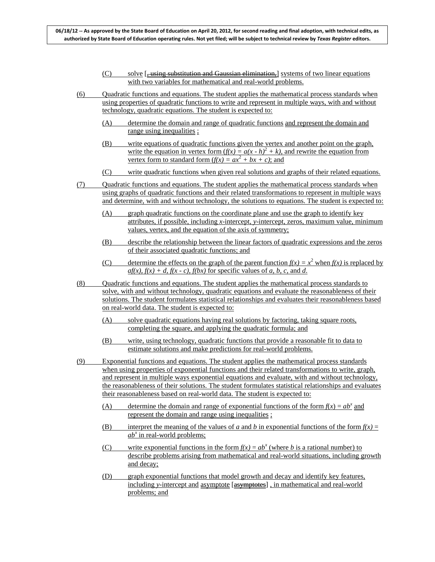- (C) solve [, using substitution and Gaussian elimination,] systems of two linear equations with two variables for mathematical and real-world problems.
- (6) Quadratic functions and equations. The student applies the mathematical process standards when using properties of quadratic functions to write and represent in multiple ways, with and without technology, quadratic equations. The student is expected to:
	- (A) determine the domain and range of quadratic functions and represent the domain and range using inequalities ;
	- (B) write equations of quadratic functions given the vertex and another point on the graph, write the equation in vertex form  $(f(x) = a(x - h)^2 + k)$ , and rewrite the equation from vertex form to standard form  $(f(x) = ax^2 + bx + c)$ ; and
	- (C) write quadratic functions when given real solutions and graphs of their related equations.
- (7) Quadratic functions and equations. The student applies the mathematical process standards when using graphs of quadratic functions and their related transformations to represent in multiple ways and determine, with and without technology, the solutions to equations. The student is expected to:
	- (A) graph quadratic functions on the coordinate plane and use the graph to identify key attributes, if possible, including *x*-intercept, *y*-intercept, zeros, maximum value, minimum values, vertex, and the equation of the axis of symmetry;
	- (B) describe the relationship between the linear factors of quadratic expressions and the zeros of their associated quadratic functions; and
	- (C) determine the effects on the graph of the parent function  $f(x) = x^2$  when  $f(x)$  is replaced by  $af(x)$ ,  $f(x) + d$ ,  $f(x - c)$ ,  $f(bx)$  for specific values of *a*, *b*, *c*, and *d*.
- (8) Quadratic functions and equations. The student applies the mathematical process standards to solve, with and without technology, quadratic equations and evaluate the reasonableness of their solutions. The student formulates statistical relationships and evaluates their reasonableness based on real-world data. The student is expected to:
	- (A) solve quadratic equations having real solutions by factoring, taking square roots, completing the square, and applying the quadratic formula; and
	- (B) write, using technology, quadratic functions that provide a reasonable fit to data to estimate solutions and make predictions for real-world problems.
- (9) Exponential functions and equations. The student applies the mathematical process standards when using properties of exponential functions and their related transformations to write, graph, and represent in multiple ways exponential equations and evaluate, with and without technology, the reasonableness of their solutions. The student formulates statistical relationships and evaluates their reasonableness based on real-world data. The student is expected to:
	- (A) determine the domain and range of exponential functions of the form  $f(x) = ab^x$  and represent the domain and range using inequalities ;
	- (B) interpret the meaning of the values of *a* and *b* in exponential functions of the form  $f(x) =$  $ab^x$  in real-world problems;
	- (C) write exponential functions in the form  $f(x) = ab^x$  (where *b* is a rational number) to describe problems arising from mathematical and real-world situations, including growth and decay;
	- (D) graph exponential functions that model growth and decay and identify key features, including *y*-intercept and asymptote [asymptotes] , in mathematical and real-world problems; and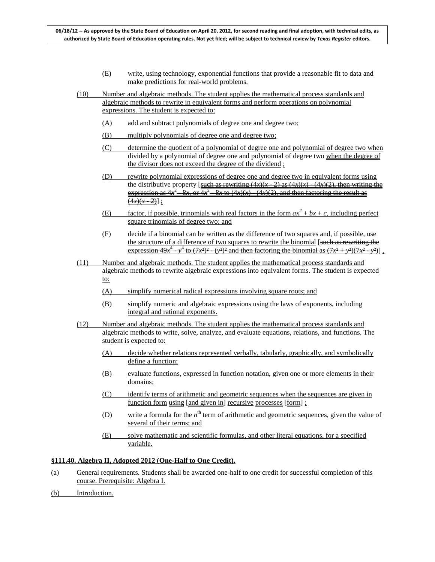- (E) write, using technology, exponential functions that provide a reasonable fit to data and make predictions for real-world problems.
- (10) Number and algebraic methods. The student applies the mathematical process standards and algebraic methods to rewrite in equivalent forms and perform operations on polynomial expressions. The student is expected to:
	- (A) add and subtract polynomials of degree one and degree two;
	- (B) multiply polynomials of degree one and degree two;
	- (C) determine the quotient of a polynomial of degree one and polynomial of degree two when divided by a polynomial of degree one and polynomial of degree two when the degree of the divisor does not exceed the degree of the dividend ;
	- (D) rewrite polynomial expressions of degree one and degree two in equivalent forms using the distributive property [such as rewriting  $(4x)(x - 2)$  as  $(4x)(x) - (4x)(2)$ , then writing the expression as  $4x^2$  - 8*x*, or  $4x^2$  - 8*x* to  $(4x)(x)$  -  $(4x)(2)$ , and then factoring the result as  $\frac{(4x)(x-2)}{x}$ ;
	- (E) factor, if possible, trinomials with real factors in the form  $ax^2 + bx + c$ , including perfect square trinomials of degree two; and
	- (F) decide if a binomial can be written as the difference of two squares and, if possible, use the structure of a difference of two squares to rewrite the binomial [such as rewriting the  $\frac{1}{2}$  expression  $49x^4 - y^4$  to  $(7x^2)^2 - (y^2)^2$  and then factoring the binomial as  $(7x^2 + y^2)(7x^2 - y^2)$ .
- (11) Number and algebraic methods. The student applies the mathematical process standards and algebraic methods to rewrite algebraic expressions into equivalent forms. The student is expected to:
	- (A) simplify numerical radical expressions involving square roots; and
	- (B) simplify numeric and algebraic expressions using the laws of exponents, including integral and rational exponents.
- (12) Number and algebraic methods. The student applies the mathematical process standards and algebraic methods to write, solve, analyze, and evaluate equations, relations, and functions. The student is expected to:
	- (A) decide whether relations represented verbally, tabularly, graphically, and symbolically define a function;
	- (B) evaluate functions, expressed in function notation, given one or more elements in their domains;
	- (C) identify terms of arithmetic and geometric sequences when the sequences are given in function form using [and given in] recursive processes [form] ;
	- (D) write a formula for the *n*<sup>th</sup> term of arithmetic and geometric sequences, given the value of several of their terms; and
	- (E) solve mathematic and scientific formulas, and other literal equations, for a specified variable.

### **§111.40. Algebra II, Adopted 2012 (One-Half to One Credit).**

- (a) General requirements. Students shall be awarded one-half to one credit for successful completion of this course. Prerequisite: Algebra I.
- (b) Introduction.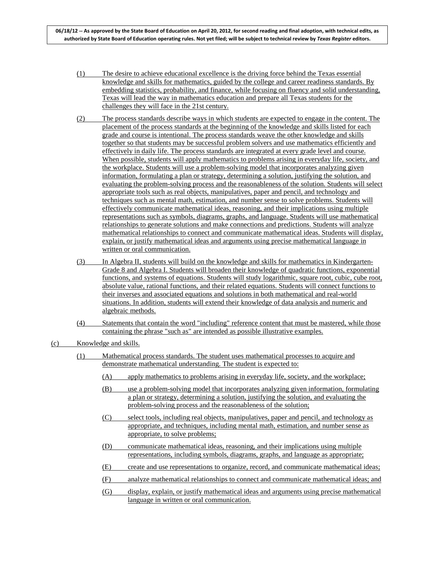- (1) The desire to achieve educational excellence is the driving force behind the Texas essential knowledge and skills for mathematics, guided by the college and career readiness standards. By embedding statistics, probability, and finance, while focusing on fluency and solid understanding, Texas will lead the way in mathematics education and prepare all Texas students for the challenges they will face in the 21st century.
- (2) The process standards describe ways in which students are expected to engage in the content. The placement of the process standards at the beginning of the knowledge and skills listed for each grade and course is intentional. The process standards weave the other knowledge and skills together so that students may be successful problem solvers and use mathematics efficiently and effectively in daily life. The process standards are integrated at every grade level and course. When possible, students will apply mathematics to problems arising in everyday life, society, and the workplace. Students will use a problem-solving model that incorporates analyzing given information, formulating a plan or strategy, determining a solution, justifying the solution, and evaluating the problem-solving process and the reasonableness of the solution. Students will select appropriate tools such as real objects, manipulatives, paper and pencil, and technology and techniques such as mental math, estimation, and number sense to solve problems. Students will effectively communicate mathematical ideas, reasoning, and their implications using multiple representations such as symbols, diagrams, graphs, and language. Students will use mathematical relationships to generate solutions and make connections and predictions. Students will analyze mathematical relationships to connect and communicate mathematical ideas. Students will display, explain, or justify mathematical ideas and arguments using precise mathematical language in written or oral communication.
- (3) In Algebra II, students will build on the knowledge and skills for mathematics in Kindergarten-Grade 8 and Algebra I. Students will broaden their knowledge of quadratic functions, exponential functions, and systems of equations. Students will study logarithmic, square root, cubic, cube root, absolute value, rational functions, and their related equations. Students will connect functions to their inverses and associated equations and solutions in both mathematical and real-world situations. In addition, students will extend their knowledge of data analysis and numeric and algebraic methods.
- (4) Statements that contain the word "including" reference content that must be mastered, while those containing the phrase "such as" are intended as possible illustrative examples.

- (1) Mathematical process standards. The student uses mathematical processes to acquire and demonstrate mathematical understanding. The student is expected to:
	- (A) apply mathematics to problems arising in everyday life, society, and the workplace;
	- (B) use a problem-solving model that incorporates analyzing given information, formulating a plan or strategy, determining a solution, justifying the solution, and evaluating the problem-solving process and the reasonableness of the solution;
	- (C) select tools, including real objects, manipulatives, paper and pencil, and technology as appropriate, and techniques, including mental math, estimation, and number sense as appropriate, to solve problems;
	- (D) communicate mathematical ideas, reasoning, and their implications using multiple representations, including symbols, diagrams, graphs, and language as appropriate;
	- (E) create and use representations to organize, record, and communicate mathematical ideas;
	- (F) analyze mathematical relationships to connect and communicate mathematical ideas; and
	- (G) display, explain, or justify mathematical ideas and arguments using precise mathematical language in written or oral communication.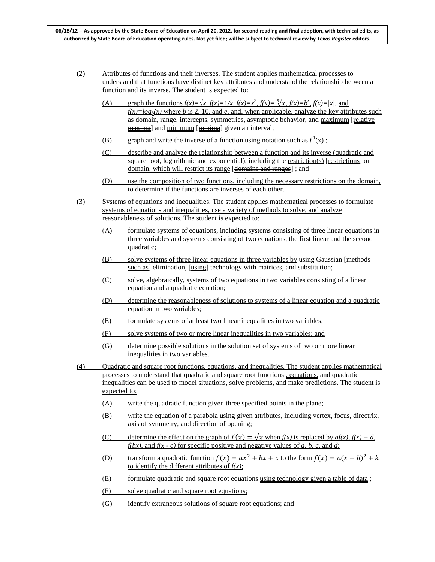- (2) Attributes of functions and their inverses. The student applies mathematical processes to understand that functions have distinct key attributes and understand the relationship between a function and its inverse. The student is expected to:
	- (A) graph the functions  $f(x) = \sqrt{x}$ ,  $f(x)=1/x$ ,  $f(x)=x^3$ ,  $f(x)=\sqrt[3]{x}$ ,  $f(x)=b^x$ ,  $f(x)=|x|$ , and  $f(x)=log_b(x)$  where *b* is 2, 10, and *e*, and, when applicable, analyze the key attributes such as domain, range, intercepts, symmetries, asymptotic behavior, and maximum [relative] maxima] and minimum [minima] given an interval;
	- (B) graph and write the inverse of a function using notation such as  $f^1(x)$ ;
	- (C) describe and analyze the relationship between a function and its inverse (quadratic and square root, logarithmic and exponential), including the restriction(s) [restrictions] on domain, which will restrict its range [domains and ranges] ; and
	- (D) use the composition of two functions, including the necessary restrictions on the domain, to determine if the functions are inverses of each other.
- (3) Systems of equations and inequalities. The student applies mathematical processes to formulate systems of equations and inequalities, use a variety of methods to solve, and analyze reasonableness of solutions. The student is expected to:
	- (A) formulate systems of equations, including systems consisting of three linear equations in three variables and systems consisting of two equations, the first linear and the second quadratic;
	- $(B)$  solve systems of three linear equations in three variables by using Gaussian [methods] such as] elimination, [using] technology with matrices, and substitution;
	- (C) solve, algebraically, systems of two equations in two variables consisting of a linear equation and a quadratic equation;
	- (D) determine the reasonableness of solutions to systems of a linear equation and a quadratic equation in two variables;
	- (E) formulate systems of at least two linear inequalities in two variables;
	- (F) solve systems of two or more linear inequalities in two variables; and
	- (G) determine possible solutions in the solution set of systems of two or more linear inequalities in two variables.
- (4) Quadratic and square root functions, equations, and inequalities. The student applies mathematical processes to understand that quadratic and square root functions , equations, and quadratic inequalities can be used to model situations, solve problems, and make predictions. The student is expected to:
	- (A) write the quadratic function given three specified points in the plane;
	- (B) write the equation of a parabola using given attributes, including vertex, focus, directrix, axis of symmetry, and direction of opening;
	- (C) determine the effect on the graph of  $f(x) = \sqrt{x}$  when  $f(x)$  is replaced by  $af(x)$ ,  $f(x) + d$ , *f(bx)*, and *f(x - c)* for specific positive and negative values of *a*, *b*, *c*, and *d*;
	- (D) transform a quadratic function  $f(x) = ax^2 + bx + c$  to the form  $f(x) = a(x h)^2 + k$ to identify the different attributes of *f(x)*;
	- (E) formulate quadratic and square root equations using technology given a table of data ;
	- (F) solve quadratic and square root equations;
	- (G) identify extraneous solutions of square root equations; and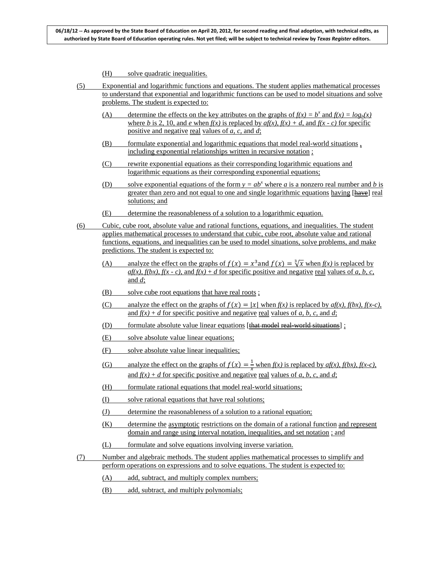- (H) solve quadratic inequalities.
- (5) Exponential and logarithmic functions and equations. The student applies mathematical processes to understand that exponential and logarithmic functions can be used to model situations and solve problems. The student is expected to:
	- (A) determine the effects on the key attributes on the graphs of  $f(x) = b^x$  and  $f(x) = log_b(x)$ where *b* is 2, 10, and *e* when  $f(x)$  is replaced by  $af(x)$ ,  $f(x) + d$ , and  $f(x - c)$  for specific positive and negative real values of *a, c,* and *d*;
	- (B) formulate exponential and logarithmic equations that model real-world situations , including exponential relationships written in recursive notation ;
	- (C) rewrite exponential equations as their corresponding logarithmic equations and logarithmic equations as their corresponding exponential equations;
	- (D) solve exponential equations of the form  $y = ab^x$  where *a* is a nonzero real number and *b* is greater than zero and not equal to one and single logarithmic equations having [ $\frac{have}{have}$ ] real solutions; and
	- (E) determine the reasonableness of a solution to a logarithmic equation.
- (6) Cubic, cube root, absolute value and rational functions, equations, and inequalities. The student applies mathematical processes to understand that cubic, cube root, absolute value and rational functions, equations, and inequalities can be used to model situations, solve problems, and make predictions. The student is expected to:
	- (A) analyze the effect on the graphs of  $f(x) = x^3$  and  $f(x) = \sqrt[3]{x}$  when  $f(x)$  is replaced by *af(x), f(bx), f(x - c), and f(x) + <i>d* for specific positive and negative real values of *a, b, c,* and *d*;
	- (B) solve cube root equations that have real roots ;
	- (C) analyze the effect on the graphs of  $f(x) = |x|$  when  $f(x)$  is replaced by  $af(x)$ ,  $f(bx)$ ,  $f(x-c)$ , and  $f(x) + d$  for specific positive and negative real values of *a, b, c,* and *d*;
	- (D) formulate absolute value linear equations  $[\frac{that \text{ model real world situations}}{in \text{]}}$ ;
	- (E) solve absolute value linear equations;
	- (F) solve absolute value linear inequalities;
	- (G) analyze the effect on the graphs of  $f(x) = \frac{1}{x}$  when  $f(x)$  is replaced by  $af(x)$ ,  $f(bx)$ ,  $f(x-c)$ , and  $f(x) + d$  for specific positive and negative real values of *a, b, c, and d;*
	- (H) formulate rational equations that model real-world situations;
	- (I) solve rational equations that have real solutions;
	- (J) determine the reasonableness of a solution to a rational equation;
	- (K) determine the asymptotic restrictions on the domain of a rational function and represent domain and range using interval notation, inequalities, and set notation ; and
	- (L) formulate and solve equations involving inverse variation.
- (7) Number and algebraic methods. The student applies mathematical processes to simplify and perform operations on expressions and to solve equations. The student is expected to:
	- (A) add, subtract, and multiply complex numbers;
	- (B) add, subtract, and multiply polynomials;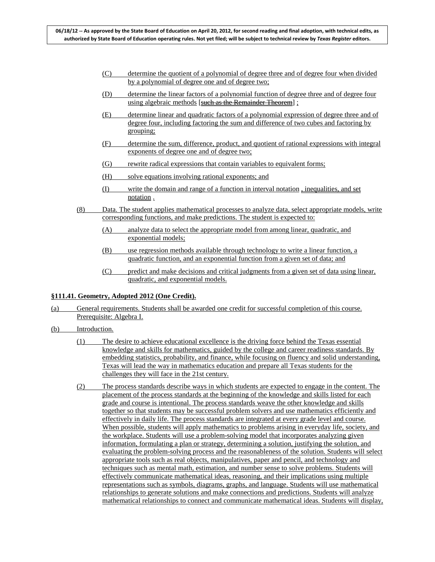- (C) determine the quotient of a polynomial of degree three and of degree four when divided by a polynomial of degree one and of degree two;
- (D) determine the linear factors of a polynomial function of degree three and of degree four using algebraic methods [such as the Remainder Theorem] ;
- (E) determine linear and quadratic factors of a polynomial expression of degree three and of degree four, including factoring the sum and difference of two cubes and factoring by grouping;
- (F) determine the sum, difference, product, and quotient of rational expressions with integral exponents of degree one and of degree two;
- (G) rewrite radical expressions that contain variables to equivalent forms;
- (H) solve equations involving rational exponents; and
- (I) write the domain and range of a function in interval notation , inequalities, and set notation.
- (8) Data. The student applies mathematical processes to analyze data, select appropriate models, write corresponding functions, and make predictions. The student is expected to:
	- (A) analyze data to select the appropriate model from among linear, quadratic, and exponential models;
	- (B) use regression methods available through technology to write a linear function, a quadratic function, and an exponential function from a given set of data; and
	- (C) predict and make decisions and critical judgments from a given set of data using linear, quadratic, and exponential models.

# **§111.41. Geometry, Adopted 2012 (One Credit).**

- (a) General requirements. Students shall be awarded one credit for successful completion of this course. Prerequisite: Algebra I.
- (b) Introduction.
	- (1) The desire to achieve educational excellence is the driving force behind the Texas essential knowledge and skills for mathematics, guided by the college and career readiness standards. By embedding statistics, probability, and finance, while focusing on fluency and solid understanding, Texas will lead the way in mathematics education and prepare all Texas students for the challenges they will face in the 21st century.
	- (2) The process standards describe ways in which students are expected to engage in the content. The placement of the process standards at the beginning of the knowledge and skills listed for each grade and course is intentional. The process standards weave the other knowledge and skills together so that students may be successful problem solvers and use mathematics efficiently and effectively in daily life. The process standards are integrated at every grade level and course. When possible, students will apply mathematics to problems arising in everyday life, society, and the workplace. Students will use a problem-solving model that incorporates analyzing given information, formulating a plan or strategy, determining a solution, justifying the solution, and evaluating the problem-solving process and the reasonableness of the solution. Students will select appropriate tools such as real objects, manipulatives, paper and pencil, and technology and techniques such as mental math, estimation, and number sense to solve problems. Students will effectively communicate mathematical ideas, reasoning, and their implications using multiple representations such as symbols, diagrams, graphs, and language. Students will use mathematical relationships to generate solutions and make connections and predictions. Students will analyze mathematical relationships to connect and communicate mathematical ideas. Students will display,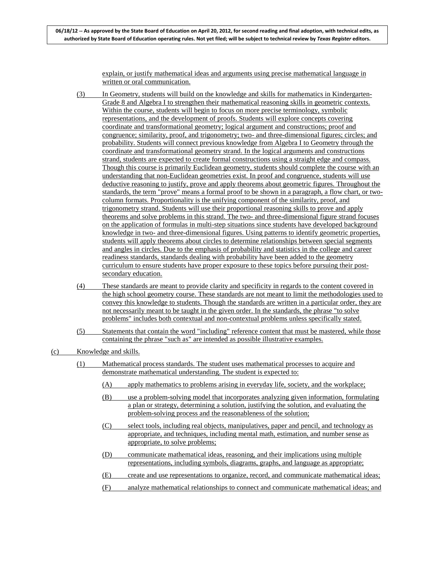explain, or justify mathematical ideas and arguments using precise mathematical language in written or oral communication.

- (3) In Geometry, students will build on the knowledge and skills for mathematics in Kindergarten-Grade 8 and Algebra I to strengthen their mathematical reasoning skills in geometric contexts. Within the course, students will begin to focus on more precise terminology, symbolic representations, and the development of proofs. Students will explore concepts covering coordinate and transformational geometry; logical argument and constructions; proof and congruence; similarity, proof, and trigonometry; two- and three-dimensional figures; circles; and probability. Students will connect previous knowledge from Algebra I to Geometry through the coordinate and transformational geometry strand. In the logical arguments and constructions strand, students are expected to create formal constructions using a straight edge and compass. Though this course is primarily Euclidean geometry, students should complete the course with an understanding that non-Euclidean geometries exist. In proof and congruence, students will use deductive reasoning to justify, prove and apply theorems about geometric figures. Throughout the standards, the term "prove" means a formal proof to be shown in a paragraph, a flow chart, or twocolumn formats. Proportionality is the unifying component of the similarity, proof, and trigonometry strand. Students will use their proportional reasoning skills to prove and apply theorems and solve problems in this strand. The two- and three-dimensional figure strand focuses on the application of formulas in multi-step situations since students have developed background knowledge in two- and three-dimensional figures. Using patterns to identify geometric properties, students will apply theorems about circles to determine relationships between special segments and angles in circles. Due to the emphasis of probability and statistics in the college and career readiness standards, standards dealing with probability have been added to the geometry curriculum to ensure students have proper exposure to these topics before pursuing their postsecondary education.
- (4) These standards are meant to provide clarity and specificity in regards to the content covered in the high school geometry course. These standards are not meant to limit the methodologies used to convey this knowledge to students. Though the standards are written in a particular order, they are not necessarily meant to be taught in the given order. In the standards, the phrase "to solve problems" includes both contextual and non-contextual problems unless specifically stated.
- (5) Statements that contain the word "including" reference content that must be mastered, while those containing the phrase "such as" are intended as possible illustrative examples.

- (1) Mathematical process standards. The student uses mathematical processes to acquire and demonstrate mathematical understanding. The student is expected to:
	- (A) apply mathematics to problems arising in everyday life, society, and the workplace;
	- (B) use a problem-solving model that incorporates analyzing given information, formulating a plan or strategy, determining a solution, justifying the solution, and evaluating the problem-solving process and the reasonableness of the solution;
	- (C) select tools, including real objects, manipulatives, paper and pencil, and technology as appropriate, and techniques, including mental math, estimation, and number sense as appropriate, to solve problems;
	- (D) communicate mathematical ideas, reasoning, and their implications using multiple representations, including symbols, diagrams, graphs, and language as appropriate;
	- (E) create and use representations to organize, record, and communicate mathematical ideas;
	- (F) analyze mathematical relationships to connect and communicate mathematical ideas; and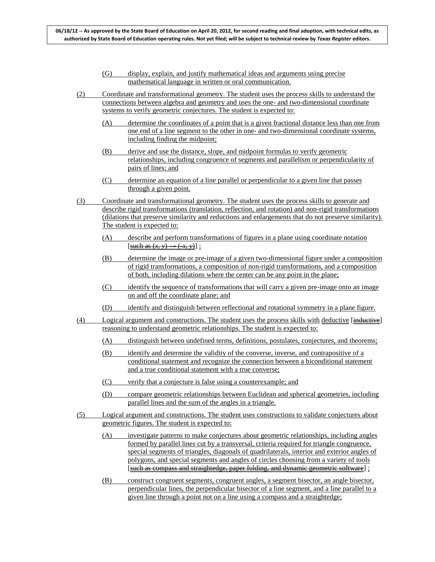- (G) display, explain, and justify mathematical ideas and arguments using precise mathematical language in written or oral communication.
- (2) Coordinate and transformational geometry. The student uses the process skills to understand the connections between algebra and geometry and uses the one- and two-dimensional coordinate systems to verify geometric conjectures. The student is expected to:
	- (A) determine the coordinates of a point that is a given fractional distance less than one from one end of a line segment to the other in one- and two-dimensional coordinate systems, including finding the midpoint;
	- (B) derive and use the distance, slope, and midpoint formulas to verify geometric relationships, including congruence of segments and parallelism or perpendicularity of pairs of lines; and
	- (C) determine an equation of a line parallel or perpendicular to a given line that passes through a given point.
- (3) Coordinate and transformational geometry. The student uses the process skills to generate and describe rigid transformations (translation, reflection, and rotation) and non-rigid transformations (dilations that preserve similarity and reductions and enlargements that do not preserve similarity). The student is expected to:
	- (A) describe and perform transformations of figures in a plane using coordinate notation  $[\frac{\text{such as } (x, y) \rightarrow (x, y)}{\text{}}]$ ;
	- (B) determine the image or pre-image of a given two-dimensional figure under a composition of rigid transformations, a composition of non-rigid transformations, and a composition of both, including dilations where the center can be any point in the plane;
	- (C) identify the sequence of transformations that will carry a given pre-image onto an image on and off the coordinate plane; and
	- (D) identify and distinguish between reflectional and rotational symmetry in a plane figure.
- (4) Logical argument and constructions. The student uses the process skills with deductive [inductive] reasoning to understand geometric relationships. The student is expected to:
	- (A) distinguish between undefined terms, definitions, postulates, conjectures, and theorems;
	- (B) identify and determine the validity of the converse, inverse, and contrapositive of a conditional statement and recognize the connection between a biconditional statement and a true conditional statement with a true converse;
	- (C) verify that a conjecture is false using a counterexample; and
	- (D) compare geometric relationships between Euclidean and spherical geometries, including parallel lines and the sum of the angles in a triangle.
- (5) Logical argument and constructions. The student uses constructions to validate conjectures about geometric figures. The student is expected to:
	- (A) investigate patterns to make conjectures about geometric relationships, including angles formed by parallel lines cut by a transversal, criteria required for triangle congruence, special segments of triangles, diagonals of quadrilaterals, interior and exterior angles of polygons, and special segments and angles of circles choosing from a variety of tools [such as compass and straightedge, paper folding, and dynamic geometric software] ;
	- (B) construct congruent segments, congruent angles, a segment bisector, an angle bisector, perpendicular lines, the perpendicular bisector of a line segment, and a line parallel to a given line through a point not on a line using a compass and a straightedge;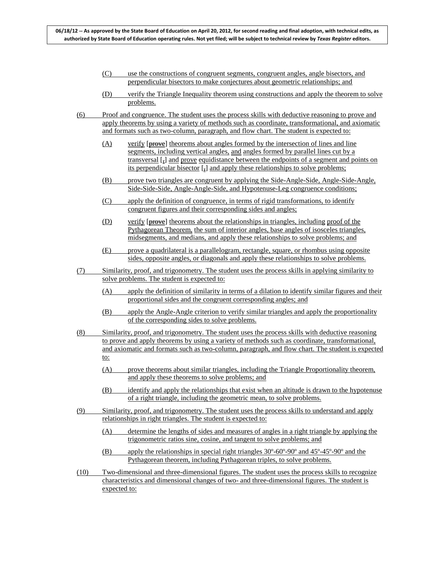- (C) use the constructions of congruent segments, congruent angles, angle bisectors, and perpendicular bisectors to make conjectures about geometric relationships; and
- (D) verify the Triangle Inequality theorem using constructions and apply the theorem to solve problems.
- (6) Proof and congruence. The student uses the process skills with deductive reasoning to prove and apply theorems by using a variety of methods such as coordinate, transformational, and axiomatic and formats such as two-column, paragraph, and flow chart. The student is expected to:
	- (A) verify [prove] theorems about angles formed by the intersection of lines and line segments, including vertical angles, and angles formed by parallel lines cut by a transversal [,] and prove equidistance between the endpoints of a segment and points on its perpendicular bisector [,] and apply these relationships to solve problems;
	- (B) prove two triangles are congruent by applying the Side-Angle-Side, Angle-Side-Angle, Side-Side-Side, Angle-Angle-Side, and Hypotenuse-Leg congruence conditions;
	- (C) apply the definition of congruence, in terms of rigid transformations, to identify congruent figures and their corresponding sides and angles;
	- (D) verify [prove] theorems about the relationships in triangles, including proof of the Pythagorean Theorem, the sum of interior angles, base angles of isosceles triangles, midsegments, and medians, and apply these relationships to solve problems; and
	- (E) prove a quadrilateral is a parallelogram, rectangle, square, or rhombus using opposite sides, opposite angles, or diagonals and apply these relationships to solve problems.
- (7) Similarity, proof, and trigonometry. The student uses the process skills in applying similarity to solve problems. The student is expected to:
	- (A) apply the definition of similarity in terms of a dilation to identify similar figures and their proportional sides and the congruent corresponding angles; and
	- (B) apply the Angle-Angle criterion to verify similar triangles and apply the proportionality of the corresponding sides to solve problems.
- (8) Similarity, proof, and trigonometry. The student uses the process skills with deductive reasoning to prove and apply theorems by using a variety of methods such as coordinate, transformational, and axiomatic and formats such as two-column, paragraph, and flow chart. The student is expected to:
	- (A) prove theorems about similar triangles, including the Triangle Proportionality theorem, and apply these theorems to solve problems; and
	- (B) identify and apply the relationships that exist when an altitude is drawn to the hypotenuse of a right triangle, including the geometric mean, to solve problems.
- (9) Similarity, proof, and trigonometry. The student uses the process skills to understand and apply relationships in right triangles. The student is expected to:
	- (A) determine the lengths of sides and measures of angles in a right triangle by applying the trigonometric ratios sine, cosine, and tangent to solve problems; and
	- (B) apply the relationships in special right triangles 30º-60º-90º and 45º-45º-90º and the Pythagorean theorem, including Pythagorean triples, to solve problems.
- (10) Two-dimensional and three-dimensional figures. The student uses the process skills to recognize characteristics and dimensional changes of two- and three-dimensional figures. The student is expected to: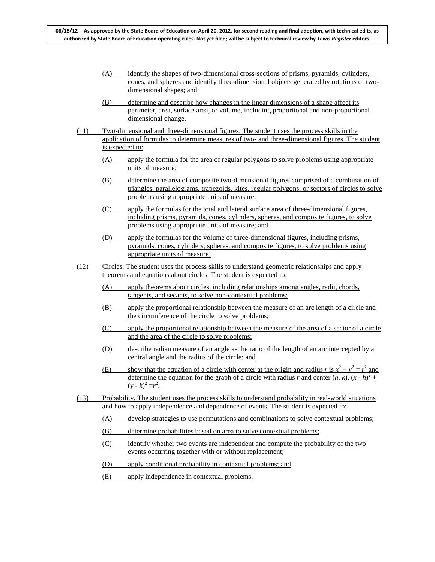- (A) identify the shapes of two-dimensional cross-sections of prisms, pyramids, cylinders, cones, and spheres and identify three-dimensional objects generated by rotations of twodimensional shapes; and
- (B) determine and describe how changes in the linear dimensions of a shape affect its perimeter, area, surface area, or volume, including proportional and non-proportional dimensional change.
- (11) Two-dimensional and three-dimensional figures. The student uses the process skills in the application of formulas to determine measures of two- and three-dimensional figures. The student is expected to:
	- (A) apply the formula for the area of regular polygons to solve problems using appropriate units of measure;
	- (B) determine the area of composite two-dimensional figures comprised of a combination of triangles, parallelograms, trapezoids, kites, regular polygons, or sectors of circles to solve problems using appropriate units of measure;
	- (C) apply the formulas for the total and lateral surface area of three-dimensional figures, including prisms, pyramids, cones, cylinders, spheres, and composite figures, to solve problems using appropriate units of measure; and
	- (D) apply the formulas for the volume of three-dimensional figures, including prisms, pyramids, cones, cylinders, spheres, and composite figures, to solve problems using appropriate units of measure.
- (12) Circles. The student uses the process skills to understand geometric relationships and apply theorems and equations about circles. The student is expected to:
	- (A) apply theorems about circles, including relationships among angles, radii, chords, tangents, and secants, to solve non-contextual problems;
	- (B) apply the proportional relationship between the measure of an arc length of a circle and the circumference of the circle to solve problems;
	- (C) apply the proportional relationship between the measure of the area of a sector of a circle and the area of the circle to solve problems;
	- (D) describe radian measure of an angle as the ratio of the length of an arc intercepted by a central angle and the radius of the circle; and
	- (E) show that the equation of a circle with center at the origin and radius *r* is  $x^2 + y^2 = r^2$  and determine the equation for the graph of a circle with radius *r* and center  $(h, k)$ ,  $(x - h)^2 +$  $(y - k)^2 = r^2$ .
- (13) Probability. The student uses the process skills to understand probability in real-world situations and how to apply independence and dependence of events. The student is expected to:
	- (A) develop strategies to use permutations and combinations to solve contextual problems;
	- (B) determine probabilities based on area to solve contextual problems;
	- (C) identify whether two events are independent and compute the probability of the two events occurring together with or without replacement;
	- (D) apply conditional probability in contextual problems; and
	- (E) apply independence in contextual problems.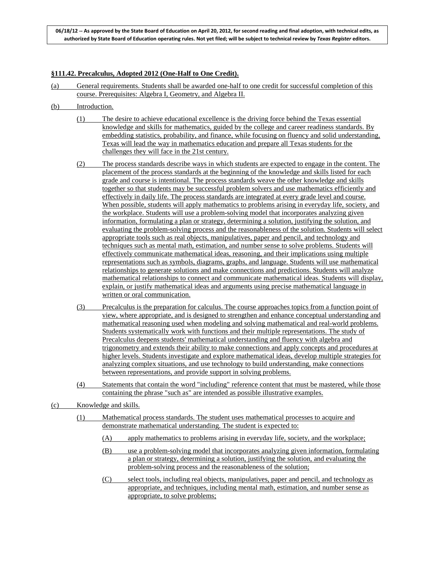# **§111.42. Precalculus, Adopted 2012 (One-Half to One Credit).**

- (a) General requirements. Students shall be awarded one-half to one credit for successful completion of this course. Prerequisites: Algebra I, Geometry, and Algebra II.
- (b) Introduction.
	- (1) The desire to achieve educational excellence is the driving force behind the Texas essential knowledge and skills for mathematics, guided by the college and career readiness standards. By embedding statistics, probability, and finance, while focusing on fluency and solid understanding, Texas will lead the way in mathematics education and prepare all Texas students for the challenges they will face in the 21st century.
	- (2) The process standards describe ways in which students are expected to engage in the content. The placement of the process standards at the beginning of the knowledge and skills listed for each grade and course is intentional. The process standards weave the other knowledge and skills together so that students may be successful problem solvers and use mathematics efficiently and effectively in daily life. The process standards are integrated at every grade level and course. When possible, students will apply mathematics to problems arising in everyday life, society, and the workplace. Students will use a problem-solving model that incorporates analyzing given information, formulating a plan or strategy, determining a solution, justifying the solution, and evaluating the problem-solving process and the reasonableness of the solution. Students will select appropriate tools such as real objects, manipulatives, paper and pencil, and technology and techniques such as mental math, estimation, and number sense to solve problems. Students will effectively communicate mathematical ideas, reasoning, and their implications using multiple representations such as symbols, diagrams, graphs, and language. Students will use mathematical relationships to generate solutions and make connections and predictions. Students will analyze mathematical relationships to connect and communicate mathematical ideas. Students will display, explain, or justify mathematical ideas and arguments using precise mathematical language in written or oral communication.
	- (3) Precalculus is the preparation for calculus. The course approaches topics from a function point of view, where appropriate, and is designed to strengthen and enhance conceptual understanding and mathematical reasoning used when modeling and solving mathematical and real-world problems. Students systematically work with functions and their multiple representations. The study of Precalculus deepens students' mathematical understanding and fluency with algebra and trigonometry and extends their ability to make connections and apply concepts and procedures at higher levels. Students investigate and explore mathematical ideas, develop multiple strategies for analyzing complex situations, and use technology to build understanding, make connections between representations, and provide support in solving problems.
	- (4) Statements that contain the word "including" reference content that must be mastered, while those containing the phrase "such as" are intended as possible illustrative examples.
- (c) Knowledge and skills.
	- (1) Mathematical process standards. The student uses mathematical processes to acquire and demonstrate mathematical understanding. The student is expected to:
		- (A) apply mathematics to problems arising in everyday life, society, and the workplace;
		- (B) use a problem-solving model that incorporates analyzing given information, formulating a plan or strategy, determining a solution, justifying the solution, and evaluating the problem-solving process and the reasonableness of the solution;
		- (C) select tools, including real objects, manipulatives, paper and pencil, and technology as appropriate, and techniques, including mental math, estimation, and number sense as appropriate, to solve problems;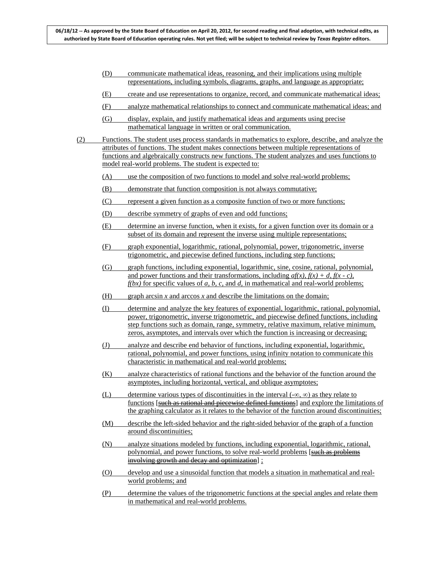- (D) communicate mathematical ideas, reasoning, and their implications using multiple representations, including symbols, diagrams, graphs, and language as appropriate;
- (E) create and use representations to organize, record, and communicate mathematical ideas;
- (F) analyze mathematical relationships to connect and communicate mathematical ideas; and
- (G) display, explain, and justify mathematical ideas and arguments using precise mathematical language in written or oral communication.
- (2) Functions. The student uses process standards in mathematics to explore, describe, and analyze the attributes of functions. The student makes connections between multiple representations of functions and algebraically constructs new functions. The student analyzes and uses functions to model real-world problems. The student is expected to:
	- (A) use the composition of two functions to model and solve real-world problems;
	- (B) demonstrate that function composition is not always commutative;
	- (C) represent a given function as a composite function of two or more functions;
	- (D) describe symmetry of graphs of even and odd functions;
	- (E) determine an inverse function, when it exists, for a given function over its domain or a subset of its domain and represent the inverse using multiple representations;
	- (F) graph exponential, logarithmic, rational, polynomial, power, trigonometric, inverse trigonometric, and piecewise defined functions, including step functions;
	- (G) graph functions, including exponential, logarithmic, sine, cosine, rational, polynomial, and power functions and their transformations, including  $af(x)$ ,  $f(x) + d$ ,  $f(x - c)$ ,  $f(bx)$  for specific values of *a*, *b*, *c*, and *d*, in mathematical and real-world problems;
	- (H) graph arcsin *x* and arccos *x* and describe the limitations on the domain;
	- (I) determine and analyze the key features of exponential, logarithmic, rational, polynomial, power, trigonometric, inverse trigonometric, and piecewise defined functions, including step functions such as domain, range, symmetry, relative maximum, relative minimum, zeros, asymptotes, and intervals over which the function is increasing or decreasing;
	- (J) analyze and describe end behavior of functions, including exponential, logarithmic, rational, polynomial, and power functions, using infinity notation to communicate this characteristic in mathematical and real-world problems;
	- (K) analyze characteristics of rational functions and the behavior of the function around the asymptotes, including horizontal, vertical, and oblique asymptotes;
	- (L) determine various types of discontinuities in the interval  $(-\infty, \infty)$  as they relate to functions [such as rational and piecewise defined functions] and explore the limitations of the graphing calculator as it relates to the behavior of the function around discontinuities;
	- (M) describe the left-sided behavior and the right-sided behavior of the graph of a function around discontinuities;
	- (N) analyze situations modeled by functions, including exponential, logarithmic, rational, polynomial, and power functions, to solve real-world problems [such as problems] involving growth and decay and optimization] ;
	- (O) develop and use a sinusoidal function that models a situation in mathematical and realworld problems; and
	- (P) determine the values of the trigonometric functions at the special angles and relate them in mathematical and real-world problems.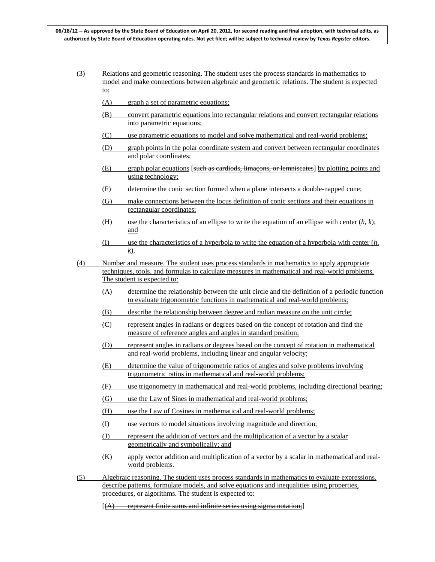- (3) Relations and geometric reasoning. The student uses the process standards in mathematics to model and make connections between algebraic and geometric relations. The student is expected to:
	- (A) graph a set of parametric equations;
	- (B) convert parametric equations into rectangular relations and convert rectangular relations into parametric equations;
	- (C) use parametric equations to model and solve mathematical and real-world problems;
	- (D) graph points in the polar coordinate system and convert between rectangular coordinates and polar coordinates;
	- (E) graph polar equations [such as cardiods, limaçons, or lemniscates] by plotting points and using technology;
	- (F) determine the conic section formed when a plane intersects a double-napped cone;
	- (G) make connections between the locus definition of conic sections and their equations in rectangular coordinates;
	- (H) use the characteristics of an ellipse to write the equation of an ellipse with center  $(h, k)$ ; and
	- (I) use the characteristics of a hyperbola to write the equation of a hyperbola with center (*h*, *k*).
- (4) Number and measure. The student uses process standards in mathematics to apply appropriate techniques, tools, and formulas to calculate measures in mathematical and real-world problems. The student is expected to:
	- (A) determine the relationship between the unit circle and the definition of a periodic function to evaluate trigonometric functions in mathematical and real-world problems;
	- (B) describe the relationship between degree and radian measure on the unit circle;
	- (C) represent angles in radians or degrees based on the concept of rotation and find the measure of reference angles and angles in standard position;
	- (D) represent angles in radians or degrees based on the concept of rotation in mathematical and real-world problems, including linear and angular velocity;
	- (E) determine the value of trigonometric ratios of angles and solve problems involving trigonometric ratios in mathematical and real-world problems;
	- (F) use trigonometry in mathematical and real-world problems, including directional bearing;
	- (G) use the Law of Sines in mathematical and real-world problems;
	- (H) use the Law of Cosines in mathematical and real-world problems;
	- (I) use vectors to model situations involving magnitude and direction;
	- (J) represent the addition of vectors and the multiplication of a vector by a scalar geometrically and symbolically; and
	- (K) apply vector addition and multiplication of a vector by a scalar in mathematical and realworld problems.
- (5) Algebraic reasoning. The student uses process standards in mathematics to evaluate expressions, describe patterns, formulate models, and solve equations and inequalities using properties, procedures, or algorithms. The student is expected to:
	- $[(A)$  represent finite sums and infinite series using sigma notation;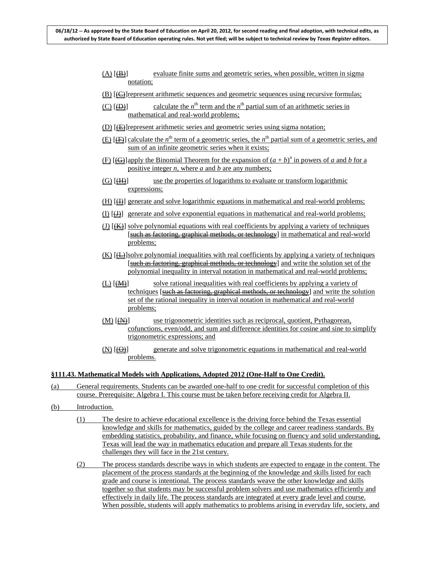- $(A)$   $(\oplus)$ evaluate finite sums and geometric series, when possible, written in sigma notation;
- $(B)$  [ $E$ ] represent arithmetic sequences and geometric sequences using recursive formulas;
- $(C)$   $[AD]$ calculate the  $n<sup>th</sup>$  term and the  $n<sup>th</sup>$  partial sum of an arithmetic series in mathematical and real-world problems;
- (D) [**(E)**] represent arithmetic series and geometric series using sigma notation;
- $(E)$  [ $(E)$ ] calculate the *n*<sup>th</sup> term of a geometric series, the *n*<sup>th</sup> partial sum of a geometric series, and sum of an infinite geometric series when it exists;
- $(F)$  [ $\bigoplus$ ] apply the Binomial Theorem for the expansion of  $(a + b)^n$  in powers of *a* and *b* for a positive integer *n*, where *a* and *b* are any numbers;
- $(G)$   $(H)$ use the properties of logarithms to evaluate or transform logarithmic expressions;
- $(H)$   $(H)$  generate and solve logarithmic equations in mathematical and real-world problems;
- $(I)$  ( $\underline{H}$ ) generate and solve exponential equations in mathematical and real-world problems;
- $(I)$   $(K)$  solve polynomial equations with real coefficients by applying a variety of techniques [such as factoring, graphical methods, or technology] in mathematical and real-world problems;
- $(K)$  [ $\bigoplus$ ]solve polynomial inequalities with real coefficients by applying a variety of techniques [such as factoring, graphical methods, or technology] and write the solution set of the polynomial inequality in interval notation in mathematical and real-world problems;
- $(L)$   $[**M**$  $]$ solve rational inequalities with real coefficients by applying a variety of techniques [such as factoring, graphical methods, or technology] and write the solution set of the rational inequality in interval notation in mathematical and real-world problems;
- $(M)$   $(M)$ ] use trigonometric identities such as reciprocal, quotient, Pythagorean, cofunctions, even/odd, and sum and difference identities for cosine and sine to simplify trigonometric expressions; and
- $(N)$   $[ $\Theta$ ]<sub>0</sub>$ generate and solve trigonometric equations in mathematical and real-world problems.

### **§111.43. Mathematical Models with Applications, Adopted 2012 (One-Half to One Credit).**

- (a) General requirements. Students can be awarded one-half to one credit for successful completion of this course. Prerequisite: Algebra I. This course must be taken before receiving credit for Algebra II.
- (b) Introduction.
	- (1) The desire to achieve educational excellence is the driving force behind the Texas essential knowledge and skills for mathematics, guided by the college and career readiness standards. By embedding statistics, probability, and finance, while focusing on fluency and solid understanding, Texas will lead the way in mathematics education and prepare all Texas students for the challenges they will face in the 21st century.
	- (2) The process standards describe ways in which students are expected to engage in the content. The placement of the process standards at the beginning of the knowledge and skills listed for each grade and course is intentional. The process standards weave the other knowledge and skills together so that students may be successful problem solvers and use mathematics efficiently and effectively in daily life. The process standards are integrated at every grade level and course. When possible, students will apply mathematics to problems arising in everyday life, society, and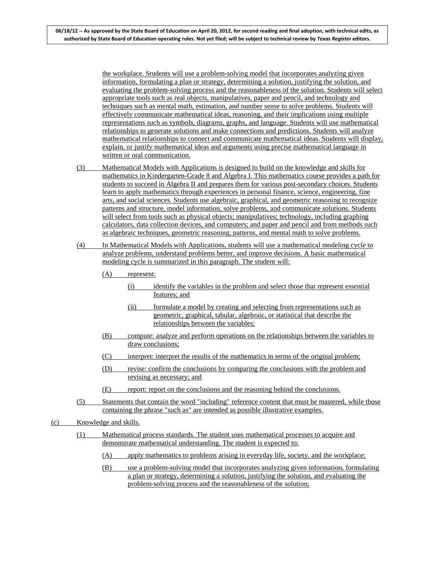the workplace. Students will use a problem-solving model that incorporates analyzing given information, formulating a plan or strategy, determining a solution, justifying the solution, and evaluating the problem-solving process and the reasonableness of the solution. Students will select appropriate tools such as real objects, manipulatives, paper and pencil, and technology and techniques such as mental math, estimation, and number sense to solve problems. Students will effectively communicate mathematical ideas, reasoning, and their implications using multiple representations such as symbols, diagrams, graphs, and language. Students will use mathematical relationships to generate solutions and make connections and predictions. Students will analyze mathematical relationships to connect and communicate mathematical ideas. Students will display, explain, or justify mathematical ideas and arguments using precise mathematical language in written or oral communication.

- (3) Mathematical Models with Applications is designed to build on the knowledge and skills for mathematics in Kindergarten-Grade 8 and Algebra I. This mathematics course provides a path for students to succeed in Algebra II and prepares them for various post-secondary choices. Students learn to apply mathematics through experiences in personal finance, science, engineering, fine arts, and social sciences. Students use algebraic, graphical, and geometric reasoning to recognize patterns and structure, model information, solve problems, and communicate solutions. Students will select from tools such as physical objects; manipulatives; technology, including graphing calculators, data collection devices, and computers; and paper and pencil and from methods such as algebraic techniques, geometric reasoning, patterns, and mental math to solve problems.
- (4) In Mathematical Models with Applications, students will use a mathematical modeling cycle to analyze problems, understand problems better, and improve decisions. A basic mathematical modeling cycle is summarized in this paragraph. The student will:
	- (A) represent:
		- (i) identify the variables in the problem and select those that represent essential features; and
		- (ii) formulate a model by creating and selecting from representations such as geometric, graphical, tabular, algebraic, or statistical that describe the relationships between the variables;
	- (B) compute: analyze and perform operations on the relationships between the variables to draw conclusions;
	- (C) interpret: interpret the results of the mathematics in terms of the original problem;
	- (D) revise: confirm the conclusions by comparing the conclusions with the problem and revising as necessary; and
	- (E) report: report on the conclusions and the reasoning behind the conclusions.
- (5) Statements that contain the word "including" reference content that must be mastered, while those containing the phrase "such as" are intended as possible illustrative examples.
- (c) Knowledge and skills.
	- (1) Mathematical process standards. The student uses mathematical processes to acquire and demonstrate mathematical understanding. The student is expected to:
		- (A) apply mathematics to problems arising in everyday life, society, and the workplace;
		- (B) use a problem-solving model that incorporates analyzing given information, formulating a plan or strategy, determining a solution, justifying the solution, and evaluating the problem-solving process and the reasonableness of the solution;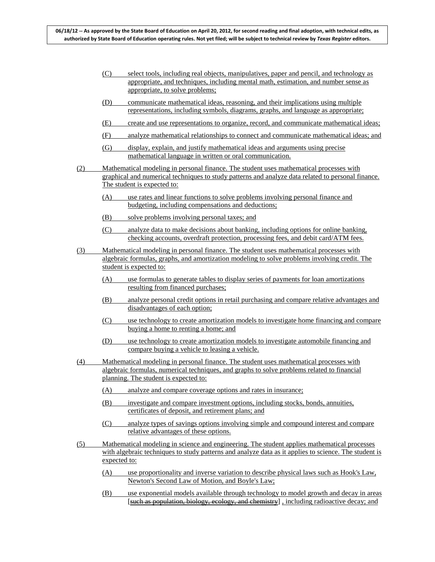- (C) select tools, including real objects, manipulatives, paper and pencil, and technology as appropriate, and techniques, including mental math, estimation, and number sense as appropriate, to solve problems;
- (D) communicate mathematical ideas, reasoning, and their implications using multiple representations, including symbols, diagrams, graphs, and language as appropriate;
- (E) create and use representations to organize, record, and communicate mathematical ideas;
- (F) analyze mathematical relationships to connect and communicate mathematical ideas; and
- (G) display, explain, and justify mathematical ideas and arguments using precise mathematical language in written or oral communication.
- (2) Mathematical modeling in personal finance. The student uses mathematical processes with graphical and numerical techniques to study patterns and analyze data related to personal finance. The student is expected to:
	- (A) use rates and linear functions to solve problems involving personal finance and budgeting, including compensations and deductions;
	- (B) solve problems involving personal taxes; and
	- (C) analyze data to make decisions about banking, including options for online banking, checking accounts, overdraft protection, processing fees, and debit card/ATM fees.
- (3) Mathematical modeling in personal finance. The student uses mathematical processes with algebraic formulas, graphs, and amortization modeling to solve problems involving credit. The student is expected to:
	- (A) use formulas to generate tables to display series of payments for loan amortizations resulting from financed purchases;
	- (B) analyze personal credit options in retail purchasing and compare relative advantages and disadvantages of each option;
	- (C) use technology to create amortization models to investigate home financing and compare buying a home to renting a home; and
	- (D) use technology to create amortization models to investigate automobile financing and compare buying a vehicle to leasing a vehicle.
- (4) Mathematical modeling in personal finance. The student uses mathematical processes with algebraic formulas, numerical techniques, and graphs to solve problems related to financial planning. The student is expected to:
	- (A) analyze and compare coverage options and rates in insurance;
	- (B) investigate and compare investment options, including stocks, bonds, annuities, certificates of deposit, and retirement plans; and
	- (C) analyze types of savings options involving simple and compound interest and compare relative advantages of these options.
- (5) Mathematical modeling in science and engineering. The student applies mathematical processes with algebraic techniques to study patterns and analyze data as it applies to science. The student is expected to:
	- (A) use proportionality and inverse variation to describe physical laws such as Hook's Law, Newton's Second Law of Motion, and Boyle's Law;
	- (B) use exponential models available through technology to model growth and decay in areas [such as population, biology, ecology, and chemistry] , including radioactive decay; and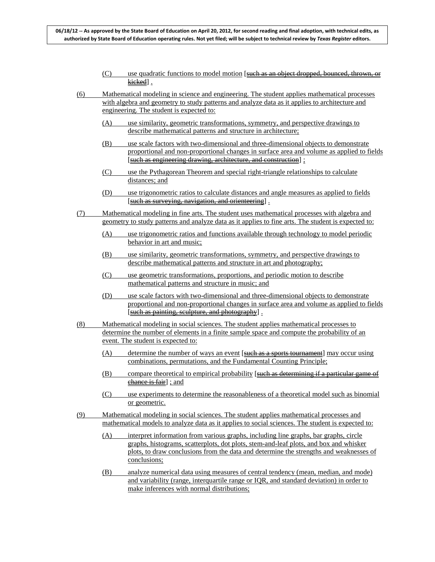- (C) use quadratic functions to model motion [such as an object dropped, bounced, thrown, or kieked].
- (6) Mathematical modeling in science and engineering. The student applies mathematical processes with algebra and geometry to study patterns and analyze data as it applies to architecture and engineering. The student is expected to:
	- (A) use similarity, geometric transformations, symmetry, and perspective drawings to describe mathematical patterns and structure in architecture;
	- (B) use scale factors with two-dimensional and three-dimensional objects to demonstrate proportional and non-proportional changes in surface area and volume as applied to fields [such as engineering drawing, architecture, and construction] ;
	- (C) use the Pythagorean Theorem and special right-triangle relationships to calculate distances; and
	- (D) use trigonometric ratios to calculate distances and angle measures as applied to fields [such as surveying, navigation, and orienteering].
- (7) Mathematical modeling in fine arts. The student uses mathematical processes with algebra and geometry to study patterns and analyze data as it applies to fine arts. The student is expected to:
	- (A) use trigonometric ratios and functions available through technology to model periodic behavior in art and music;
	- (B) use similarity, geometric transformations, symmetry, and perspective drawings to describe mathematical patterns and structure in art and photography;
	- (C) use geometric transformations, proportions, and periodic motion to describe mathematical patterns and structure in music; and
	- (D) use scale factors with two-dimensional and three-dimensional objects to demonstrate proportional and non-proportional changes in surface area and volume as applied to fields [such as painting, sculpture, and photography].
- (8) Mathematical modeling in social sciences. The student applies mathematical processes to determine the number of elements in a finite sample space and compute the probability of an event. The student is expected to:
	- (A) determine the number of ways an event [such as a sports tournament] may occur using combinations, permutations, and the Fundamental Counting Principle;
	- (B) compare theoretical to empirical probability [such as determining if a particular game of chance is fair] ; and
	- (C) use experiments to determine the reasonableness of a theoretical model such as binomial or geometric.
- (9) Mathematical modeling in social sciences. The student applies mathematical processes and mathematical models to analyze data as it applies to social sciences. The student is expected to:
	- (A) interpret information from various graphs, including line graphs, bar graphs, circle graphs, histograms, scatterplots, dot plots, stem-and-leaf plots, and box and whisker plots, to draw conclusions from the data and determine the strengths and weaknesses of conclusions;
	- (B) analyze numerical data using measures of central tendency (mean, median, and mode) and variability (range, interquartile range or IQR, and standard deviation) in order to make inferences with normal distributions;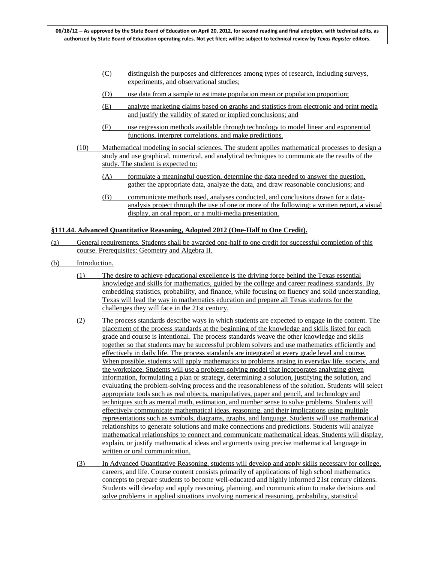- (C) distinguish the purposes and differences among types of research, including surveys, experiments, and observational studies;
- (D) use data from a sample to estimate population mean or population proportion;
- (E) analyze marketing claims based on graphs and statistics from electronic and print media and justify the validity of stated or implied conclusions; and
- (F) use regression methods available through technology to model linear and exponential functions, interpret correlations, and make predictions.
- (10) Mathematical modeling in social sciences. The student applies mathematical processes to design a study and use graphical, numerical, and analytical techniques to communicate the results of the study. The student is expected to:
	- (A) formulate a meaningful question, determine the data needed to answer the question, gather the appropriate data, analyze the data, and draw reasonable conclusions; and
	- (B) communicate methods used, analyses conducted, and conclusions drawn for a dataanalysis project through the use of one or more of the following: a written report, a visual display, an oral report, or a multi-media presentation.

### **§111.44. Advanced Quantitative Reasoning, Adopted 2012 (One-Half to One Credit).**

- (a) General requirements. Students shall be awarded one-half to one credit for successful completion of this course. Prerequisites: Geometry and Algebra II.
- (b) Introduction.
	- (1) The desire to achieve educational excellence is the driving force behind the Texas essential knowledge and skills for mathematics, guided by the college and career readiness standards. By embedding statistics, probability, and finance, while focusing on fluency and solid understanding, Texas will lead the way in mathematics education and prepare all Texas students for the challenges they will face in the 21st century.
	- (2) The process standards describe ways in which students are expected to engage in the content. The placement of the process standards at the beginning of the knowledge and skills listed for each grade and course is intentional. The process standards weave the other knowledge and skills together so that students may be successful problem solvers and use mathematics efficiently and effectively in daily life. The process standards are integrated at every grade level and course. When possible, students will apply mathematics to problems arising in everyday life, society, and the workplace. Students will use a problem-solving model that incorporates analyzing given information, formulating a plan or strategy, determining a solution, justifying the solution, and evaluating the problem-solving process and the reasonableness of the solution. Students will select appropriate tools such as real objects, manipulatives, paper and pencil, and technology and techniques such as mental math, estimation, and number sense to solve problems. Students will effectively communicate mathematical ideas, reasoning, and their implications using multiple representations such as symbols, diagrams, graphs, and language. Students will use mathematical relationships to generate solutions and make connections and predictions. Students will analyze mathematical relationships to connect and communicate mathematical ideas. Students will display, explain, or justify mathematical ideas and arguments using precise mathematical language in written or oral communication.
	- (3) In Advanced Quantitative Reasoning, students will develop and apply skills necessary for college, careers, and life. Course content consists primarily of applications of high school mathematics concepts to prepare students to become well-educated and highly informed 21st century citizens. Students will develop and apply reasoning, planning, and communication to make decisions and solve problems in applied situations involving numerical reasoning, probability, statistical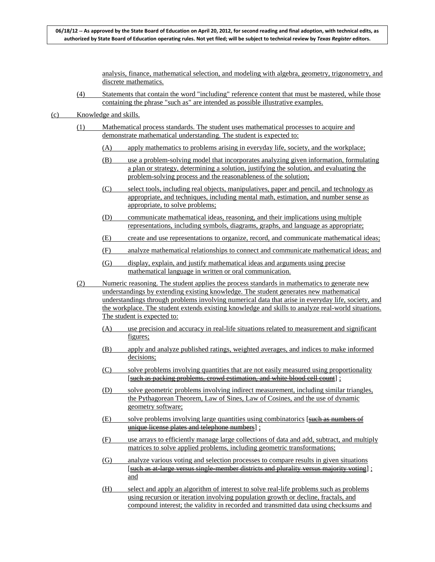analysis, finance, mathematical selection, and modeling with algebra, geometry, trigonometry, and discrete mathematics.

(4) Statements that contain the word "including" reference content that must be mastered, while those containing the phrase "such as" are intended as possible illustrative examples.

- (1) Mathematical process standards. The student uses mathematical processes to acquire and demonstrate mathematical understanding. The student is expected to:
	- (A) apply mathematics to problems arising in everyday life, society, and the workplace;
	- (B) use a problem-solving model that incorporates analyzing given information, formulating a plan or strategy, determining a solution, justifying the solution, and evaluating the problem-solving process and the reasonableness of the solution;
	- (C) select tools, including real objects, manipulatives, paper and pencil, and technology as appropriate, and techniques, including mental math, estimation, and number sense as appropriate, to solve problems;
	- (D) communicate mathematical ideas, reasoning, and their implications using multiple representations, including symbols, diagrams, graphs, and language as appropriate;
	- (E) create and use representations to organize, record, and communicate mathematical ideas;
	- (F) analyze mathematical relationships to connect and communicate mathematical ideas; and
	- (G) display, explain, and justify mathematical ideas and arguments using precise mathematical language in written or oral communication.
- (2) Numeric reasoning. The student applies the process standards in mathematics to generate new understandings by extending existing knowledge. The student generates new mathematical understandings through problems involving numerical data that arise in everyday life, society, and the workplace. The student extends existing knowledge and skills to analyze real-world situations. The student is expected to:
	- (A) use precision and accuracy in real-life situations related to measurement and significant figures;
	- (B) apply and analyze published ratings, weighted averages, and indices to make informed decisions;
	- (C) solve problems involving quantities that are not easily measured using proportionality [such as packing problems, crowd estimation, and white blood cell count];
	- (D) solve geometric problems involving indirect measurement, including similar triangles, the Pythagorean Theorem, Law of Sines, Law of Cosines, and the use of dynamic geometry software;
	- $(E)$  solve problems involving large quantities using combinatorics [such as numbers of unique license plates and telephone numbers] ;
	- (F) use arrays to efficiently manage large collections of data and add, subtract, and multiply matrices to solve applied problems, including geometric transformations;
	- (G) analyze various voting and selection processes to compare results in given situations [such as at-large versus single-member districts and plurality versus majority voting] ; and
	- (H) select and apply an algorithm of interest to solve real-life problems such as problems using recursion or iteration involving population growth or decline, fractals, and compound interest; the validity in recorded and transmitted data using checksums and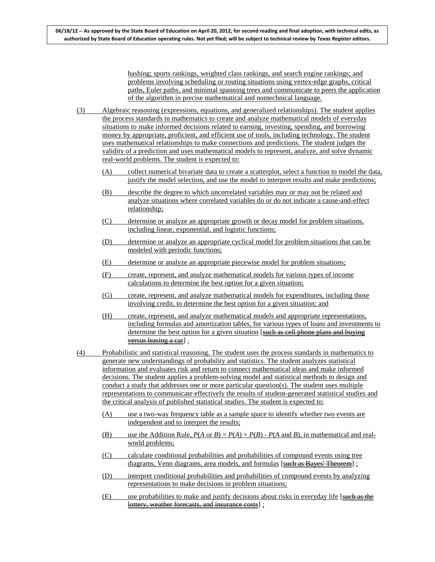hashing; sports rankings, weighted class rankings, and search engine rankings; and problems involving scheduling or routing situations using vertex-edge graphs, critical paths, Euler paths, and minimal spanning trees and communicate to peers the application of the algorithm in precise mathematical and nontechnical language.

- (3) Algebraic reasoning (expressions, equations, and generalized relationships). The student applies the process standards in mathematics to create and analyze mathematical models of everyday situations to make informed decisions related to earning, investing, spending, and borrowing money by appropriate, proficient, and efficient use of tools, including technology. The student uses mathematical relationships to make connections and predictions. The student judges the validity of a prediction and uses mathematical models to represent, analyze, and solve dynamic real-world problems. The student is expected to:
	- (A) collect numerical bivariate data to create a scatterplot, select a function to model the data, justify the model selection, and use the model to interpret results and make predictions;
	- (B) describe the degree to which uncorrelated variables may or may not be related and analyze situations where correlated variables do or do not indicate a cause-and-effect relationship;
	- (C) determine or analyze an appropriate growth or decay model for problem situations, including linear, exponential, and logistic functions;
	- (D) determine or analyze an appropriate cyclical model for problem situations that can be modeled with periodic functions;
	- (E) determine or analyze an appropriate piecewise model for problem situations;
	- (F) create, represent, and analyze mathematical models for various types of income calculations to determine the best option for a given situation;
	- (G) create, represent, and analyze mathematical models for expenditures, including those involving credit, to determine the best option for a given situation; and
	- (H) create, represent, and analyze mathematical models and appropriate representations, including formulas and amortization tables, for various types of loans and investments to determine the best option for a given situation [such as cell phone plans and buying versus leasing a car] .
- (4) Probabilistic and statistical reasoning. The student uses the process standards in mathematics to generate new understandings of probability and statistics. The student analyzes statistical information and evaluates risk and return to connect mathematical ideas and make informed decisions. The student applies a problem-solving model and statistical methods to design and conduct a study that addresses one or more particular question(s). The student uses multiple representations to communicate effectively the results of student-generated statistical studies and the critical analysis of published statistical studies. The student is expected to:
	- (A) use a two-way frequency table as a sample space to identify whether two events are independent and to interpret the results;
	- (B) use the Addition Rule,  $P(A \text{ or } B) = P(A) + P(B) P(A \text{ and } B)$ , in mathematical and realworld problems;
	- (C) calculate conditional probabilities and probabilities of compound events using tree diagrams, Venn diagrams, area models, and formulas [such as Bayes' Theorem] ;
	- (D) interpret conditional probabilities and probabilities of compound events by analyzing representations to make decisions in problem situations;
	- $(E)$  use probabilities to make and justify decisions about risks in everyday life [such as the lottery, weather forecasts, and insurance costs] ;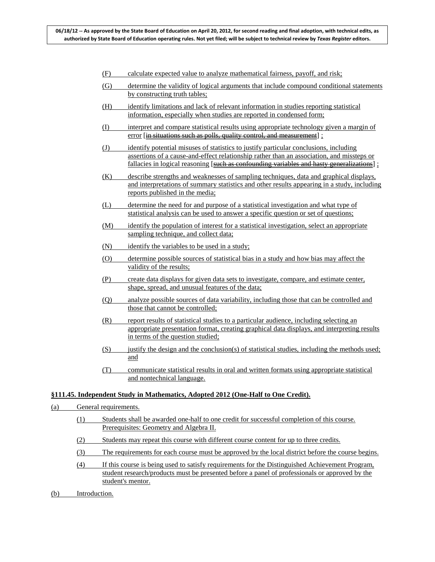- (F) calculate expected value to analyze mathematical fairness, payoff, and risk;
- (G) determine the validity of logical arguments that include compound conditional statements by constructing truth tables;
- (H) identify limitations and lack of relevant information in studies reporting statistical information, especially when studies are reported in condensed form;
- (I) interpret and compare statistical results using appropriate technology given a margin of error [in situations such as polls, quality control, and measurement] ;
- (J) identify potential misuses of statistics to justify particular conclusions, including assertions of a cause-and-effect relationship rather than an association, and missteps or fallacies in logical reasoning [such as confounding variables and hasty generalizations];
- (K) describe strengths and weaknesses of sampling techniques, data and graphical displays, and interpretations of summary statistics and other results appearing in a study, including reports published in the media;
- (L) determine the need for and purpose of a statistical investigation and what type of statistical analysis can be used to answer a specific question or set of questions;
- (M) identify the population of interest for a statistical investigation, select an appropriate sampling technique, and collect data;
- (N) identify the variables to be used in a study;
- (O) determine possible sources of statistical bias in a study and how bias may affect the validity of the results;
- (P) create data displays for given data sets to investigate, compare, and estimate center, shape, spread, and unusual features of the data;
- (Q) analyze possible sources of data variability, including those that can be controlled and those that cannot be controlled;
- (R) report results of statistical studies to a particular audience, including selecting an appropriate presentation format, creating graphical data displays, and interpreting results in terms of the question studied;
- $(S)$  justify the design and the conclusion(s) of statistical studies, including the methods used; and
- (T) communicate statistical results in oral and written formats using appropriate statistical and nontechnical language.

### **§111.45. Independent Study in Mathematics, Adopted 2012 (One-Half to One Credit).**

- (a) General requirements.
	- (1) Students shall be awarded one-half to one credit for successful completion of this course. Prerequisites: Geometry and Algebra II.
	- (2) Students may repeat this course with different course content for up to three credits.
	- (3) The requirements for each course must be approved by the local district before the course begins.
	- (4) If this course is being used to satisfy requirements for the Distinguished Achievement Program, student research/products must be presented before a panel of professionals or approved by the student's mentor.
- (b) Introduction.